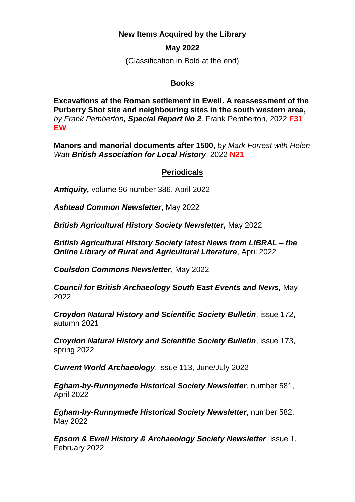**New Items Acquired by the Library**

## **May 2022**

**(**Classification in Bold at the end)

## **Books**

**Excavations at the Roman settlement in Ewell. A reassessment of the Purberry Shot site and neighbouring sites in the south western area,**  *by Frank Pemberton, Special Report No 2,* Frank Pemberton, 2022 **F31 EW**

**Manors and manorial documents after 1500,** *by Mark Forrest with Helen Watt British Association for Local History*, 2022 **N21**

## **Periodicals**

*Antiquity,* volume 96 number 386, April 2022

*Ashtead Common Newsletter*, May 2022

*British Agricultural History Society Newsletter,* May 2022

*British Agricultural History Society latest News from LIBRAL – the Online Library of Rural and Agricultural Literature*, April 2022

*Coulsdon Commons Newsletter*, May 2022

*Council for British Archaeology South East Events and News,* May 2022

*Croydon Natural History and Scientific Society Bulletin*, issue 172, autumn 2021

*Croydon Natural History and Scientific Society Bulletin*, issue 173, spring 2022

*Current World Archaeology*, issue 113, June/July 2022

*Egham-by-Runnymede Historical Society Newsletter*, number 581, April 2022

*Egham-by-Runnymede Historical Society Newsletter*, number 582, May 2022

*Epsom & Ewell History & Archaeology Society Newsletter*, issue 1, February 2022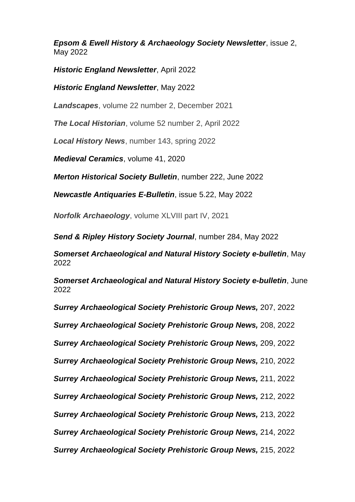*Epsom & Ewell History & Archaeology Society Newsletter*, issue 2, May 2022

*Historic England Newsletter*, April 2022

*Historic England Newsletter*, May 2022

*Landscapes*, volume 22 number 2, December 2021

*The Local Historian*, volume 52 number 2, April 2022

*Local History News*, number 143, spring 2022

*Medieval Ceramics*, volume 41, 2020

*Merton Historical Society Bulletin*, number 222, June 2022

*Newcastle Antiquaries E-Bulletin*, issue 5.22, May 2022

*Norfolk Archaeology*, volume XLVIII part IV, 2021

*Send & Ripley History Society Journal*, number 284, May 2022

*Somerset Archaeological and Natural History Society e-bulletin*, May 2022

*Somerset Archaeological and Natural History Society e-bulletin*, June 2022

*Surrey Archaeological Society Prehistoric Group News,* 207, 2022

*Surrey Archaeological Society Prehistoric Group News,* 208, 2022

*Surrey Archaeological Society Prehistoric Group News,* 209, 2022

*Surrey Archaeological Society Prehistoric Group News,* 210, 2022

*Surrey Archaeological Society Prehistoric Group News,* 211, 2022

*Surrey Archaeological Society Prehistoric Group News,* 212, 2022

*Surrey Archaeological Society Prehistoric Group News,* 213, 2022

*Surrey Archaeological Society Prehistoric Group News,* 214, 2022

*Surrey Archaeological Society Prehistoric Group News,* 215, 2022